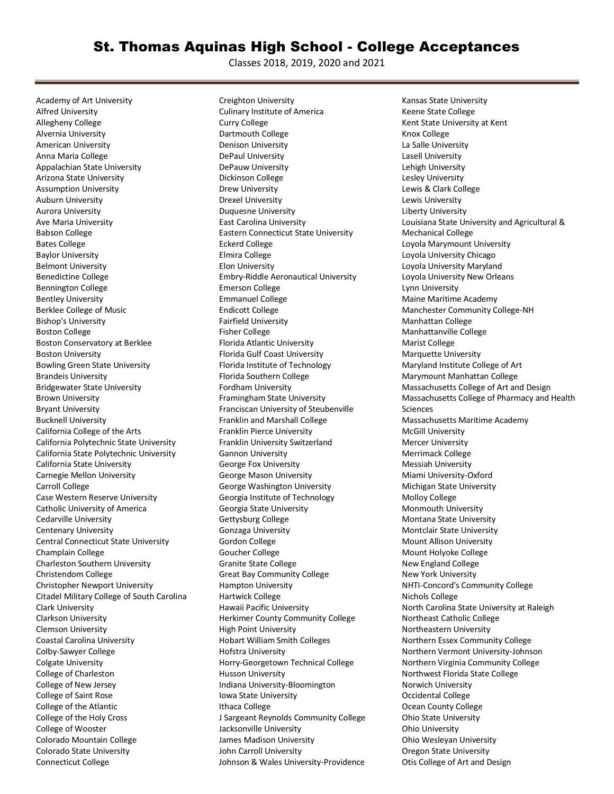## St. Thomas Aquinas High School - College Acceptances

Classes 2018, 2019, 2020 and 2021

Academy of Art University Alfred University Allegheny College Alvernia University American University Anna Maria College Appalachian State University Arizona State University Assumption University Auburn University Aurora University Ave Maria University Babson College Bates College Baylor University Belmont University Benedictine College Bennington College Bentley University Berklee College of Music Bishop's University Boston College Boston Conservatory at Berklee Boston University Bowling Green State University Brandeis University Bridgewater State University Brown University Bryant University Bucknell University California College of the Arts California Polytechnic State University California State Polytechnic University California State University Carnegie Mellon University Carroll College Case Western Reserve University Catholic University of America Cedarville University Centenary University Central Connecticut State University Champlain College Charleston Southern University Christendom College Christopher Newport University Citadel Military College of South Carolina Clark University Clarkson University Clemson University Coastal Carolina University Colby-Sawyer College Colgate University College of Charleston College of New Jersey College of Saint Rose College of the Atlantic College of the Holy Cross College of Wooster Colorado Mountain College Colorado State University Connecticut College

Creighton University Culinary Institute of America Curry College Dartmouth College Denison University DePaul University DePauw University Dickinson College Drew University Drexel University Duquesne University East Carolina University Eastern Connecticut State University Eckerd College Elmira College Elon University Embry-Riddle Aeronautical University Emerson College Emmanuel College Endicott College Fairfield University Fisher College Florida Atlantic University Florida Gulf Coast University Florida Institute of Technology Florida Southern College Fordham University Framingham State University Franciscan University of Steubenville Franklin and Marshall College Franklin Pierce University Franklin University Switzerland Gannon University George Fox University George Mason University George Washington University Georgia Institute of Technology Georgia State University Gettysburg College Gonzaga University Gordon College Goucher College Granite State College Great Bay Community College Hampton University Hartwick College Hawaii Pacific University Herkimer County Community College High Point University Hobart William Smith Colleges Hofstra University Horry-Georgetown Technical College Husson University Indiana University-Bloomington Iowa State University Ithaca College J Sargeant Reynolds Community College Jacksonville University James Madison University John Carroll University Johnson & Wales University-Providence

Kansas State University Keene State College Kent State University at Kent Knox College La Salle University Lasell University Lehigh University Lesley University Lewis & Clark College Lewis University Liberty University Louisiana State University and Agricultural & Mechanical College Loyola Marymount University Loyola University Chicago Loyola University Maryland Loyola University New Orleans Lynn University Maine Maritime Academy Manchester Community College-NH Manhattan College Manhattanville College Marist College Marquette University Maryland Institute College of Art Marymount Manhattan College Massachusetts College of Art and Design Massachusetts College of Pharmacy and Health Sciences Massachusetts Maritime Academy McGill University Mercer University Merrimack College Messiah University Miami University-Oxford Michigan State University Molloy College Monmouth University Montana State University Montclair State University Mount Allison University Mount Holyoke College New England College New York University NHTI-Concord's Community College Nichols College North Carolina State University at Raleigh Northeast Catholic College Northeastern University Northern Essex Community College Northern Vermont University-Johnson Northern Virginia Community College Northwest Florida State College Norwich University Occidental College Ocean County College Ohio State University Ohio University Ohio Wesleyan University Oregon State University Otis College of Art and Design